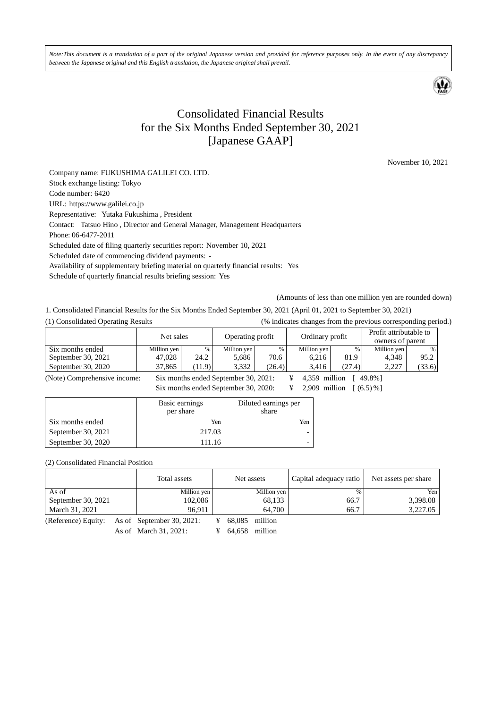*Note:This document is a translation of a part of the original Japanese version and provided for reference purposes only. In the event of any discrepancy between the Japanese original and this English translation, the Japanese original shall prevail.* 



# Consolidated Financial Results for the Six Months Ended September 30, 2021 [Japanese GAAP]

November 10, 2021

Company name: FUKUSHIMA GALILEI CO. LTD. Stock exchange listing: Tokyo Code number: 6420 URL: https://www.galilei.co.jp Representative: Yutaka Fukushima , President Contact: Tatsuo Hino , Director and General Manager, Management Headquarters Phone: 06-6477-2011 Scheduled date of filing quarterly securities report: November 10, 2021 Scheduled date of commencing dividend payments: - Availability of supplementary briefing material on quarterly financial results: Yes Schedule of quarterly financial results briefing session: Yes

(Amounts of less than one million yen are rounded down)

1. Consolidated Financial Results for the Six Months Ended September 30, 2021 (April 01, 2021 to September 30, 2021)

(1) Consolidated Operating Results (% indicates changes from the previous corresponding period.)

|                    |             |        |                  |        |                 |        |                                            | .      |
|--------------------|-------------|--------|------------------|--------|-----------------|--------|--------------------------------------------|--------|
|                    | Net sales   |        | Operating profit |        | Ordinary profit |        | Profit attributable to<br>owners of parent |        |
| Six months ended   | Million yen | $\%$   | Million yen      | $\%$   | Million yen     | $\%$   | Million ven                                | $\%$   |
| September 30, 2021 | 47.028      | 24.2   | 5.686            | 70.6   | 6.216           | 81.9   | 4.348                                      | 95.2   |
| September 30, 2020 | 37,865      | (11.9) | 3.332            | (26.4) | 3.416           | (27.4) | 2.227                                      | (33.6) |
|                    |             |        |                  |        |                 |        |                                            |        |

(Note) Comprehensive income: Six months ended September 30, 2021: ¥ 4,359 million [ 49.8%] Six months ended September 30, 2020: ¥ 2,909 million [ (6.5) %]

|                    | Basic earnings<br>per share | Diluted earnings per<br>share |
|--------------------|-----------------------------|-------------------------------|
| Six months ended   | Yen                         | Yen                           |
| September 30, 2021 | 217.03                      |                               |
| September 30, 2020 | 111.16                      |                               |

(2) Consolidated Financial Position

|                    | Total assets | Net assets  | Capital adequacy ratio | Net assets per share |
|--------------------|--------------|-------------|------------------------|----------------------|
| As of              | Million yen  | Million yen | $\%$                   | Yen.                 |
| September 30, 2021 | 102.086      | 68,133      | 66.7                   | 3,398.08             |
| March 31, 2021     | 96.911       | 64,700      | 66.7                   | 3,227.05             |

(Reference) Equity: As of September 30, 2021: ¥ 68,085 million

As of March 31, 2021: ¥ 64,658 million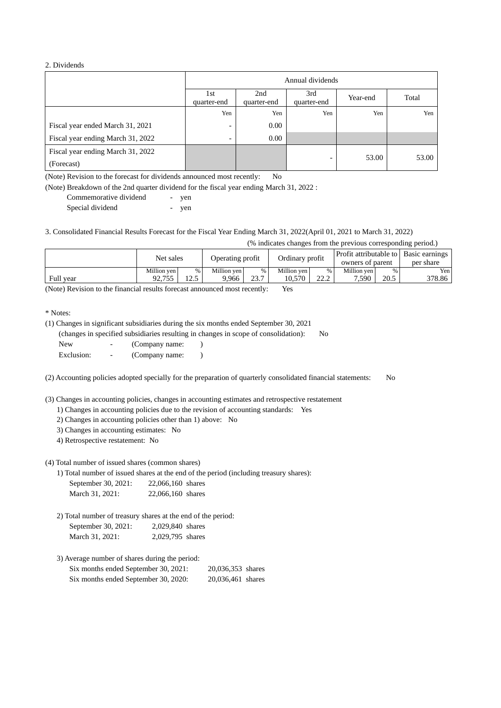#### 2. Dividends

|                                                 | Annual dividends         |                    |                          |          |       |
|-------------------------------------------------|--------------------------|--------------------|--------------------------|----------|-------|
|                                                 | 1st<br>quarter-end       | 2nd<br>quarter-end | 3rd<br>quarter-end       | Year-end | Total |
|                                                 | Yen                      | Yen                | Yen                      | Yen      | Yen   |
| Fiscal year ended March 31, 2021                |                          | 0.00               |                          |          |       |
| Fiscal year ending March 31, 2022               | $\overline{\phantom{0}}$ | 0.00               |                          |          |       |
| Fiscal year ending March 31, 2022<br>(Forecast) |                          |                    | $\overline{\phantom{0}}$ | 53.00    | 53.00 |

(Note) Revision to the forecast for dividends announced most recently: No

(Note) Breakdown of the 2nd quarter dividend for the fiscal year ending March 31, 2022 :

| Commemorative dividend | yen |
|------------------------|-----|
| Special dividend       | yen |

3. Consolidated Financial Results Forecast for the Fiscal Year Ending March 31, 2022(April 01, 2021 to March 31, 2022)

(% indicates changes from the previous corresponding period.)

|           | Net sales   |               | Operating profit |      | Ordinary profit |              | owners of parent |      | Profit attributable to   Basic earnings  <br>per share |
|-----------|-------------|---------------|------------------|------|-----------------|--------------|------------------|------|--------------------------------------------------------|
|           | Million ven | $\%$          | Million ven      | $\%$ | Million ven     | %            | Million ven      | $\%$ | Yen                                                    |
| Full year | 92.755      | 125<br>ن که ۱ | 9.966            | 23.7 | 10.570          | າາ າ<br>44.L | 7.590            | 20.5 | 378.86                                                 |

(Note) Revision to the financial results forecast announced most recently: Yes

\* Notes:

(1) Changes in significant subsidiaries during the six months ended September 30, 2021

(changes in specified subsidiaries resulting in changes in scope of consolidation): No

| New        | (Company name: |  |
|------------|----------------|--|
| Exclusion: | (Company name: |  |

(2) Accounting policies adopted specially for the preparation of quarterly consolidated financial statements: No

(3) Changes in accounting policies, changes in accounting estimates and retrospective restatement

1) Changes in accounting policies due to the revision of accounting standards: Yes

2) Changes in accounting policies other than 1) above: No

3) Changes in accounting estimates: No

4) Retrospective restatement: No

(4) Total number of issued shares (common shares)

1) Total number of issued shares at the end of the period (including treasury shares):

| September 30, 2021: | 22,066,160 shares |  |
|---------------------|-------------------|--|
| March 31, 2021:     | 22,066,160 shares |  |

2) Total number of treasury shares at the end of the period:

September 30, 2021: 2,029,840 shares March 31, 2021: 2,029,795 shares

| 3) Average number of shares during the period: |                   |  |
|------------------------------------------------|-------------------|--|
| Six months ended September 30, 2021:           | 20,036,353 shares |  |
| Six months ended September 30, 2020:           | 20,036,461 shares |  |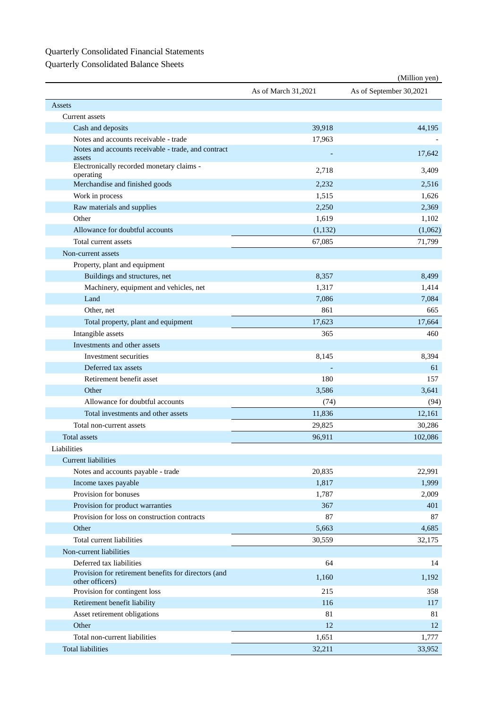# Quarterly Consolidated Financial Statements

Quarterly Consolidated Balance Sheets

|                                                                         |                     | (Million yen)           |
|-------------------------------------------------------------------------|---------------------|-------------------------|
|                                                                         | As of March 31,2021 | As of September 30,2021 |
| Assets                                                                  |                     |                         |
| Current assets                                                          |                     |                         |
| Cash and deposits                                                       | 39,918              | 44,195                  |
| Notes and accounts receivable - trade                                   | 17,963              |                         |
| Notes and accounts receivable - trade, and contract<br>assets           |                     | 17,642                  |
| Electronically recorded monetary claims -<br>operating                  | 2,718               | 3,409                   |
| Merchandise and finished goods                                          | 2,232               | 2,516                   |
| Work in process                                                         | 1,515               | 1,626                   |
| Raw materials and supplies                                              | 2,250               | 2,369                   |
| Other                                                                   | 1,619               | 1,102                   |
| Allowance for doubtful accounts                                         | (1,132)             | (1,062)                 |
| Total current assets                                                    | 67,085              | 71,799                  |
| Non-current assets                                                      |                     |                         |
| Property, plant and equipment                                           |                     |                         |
| Buildings and structures, net                                           | 8,357               | 8,499                   |
| Machinery, equipment and vehicles, net                                  | 1,317               | 1,414                   |
| Land                                                                    | 7,086               | 7,084                   |
| Other, net                                                              | 861                 | 665                     |
| Total property, plant and equipment                                     | 17,623              | 17,664                  |
| Intangible assets                                                       | 365                 | 460                     |
| Investments and other assets                                            |                     |                         |
| Investment securities                                                   | 8,145               | 8,394                   |
| Deferred tax assets                                                     |                     | 61                      |
| Retirement benefit asset                                                | 180                 | 157                     |
| Other                                                                   | 3,586               | 3,641                   |
| Allowance for doubtful accounts                                         | (74)                | (94)                    |
| Total investments and other assets                                      | 11,836              | 12,161                  |
| Total non-current assets                                                | 29,825              | 30,286                  |
| Total assets                                                            | 96,911              | 102,086                 |
| Liabilities                                                             |                     |                         |
| <b>Current liabilities</b>                                              |                     |                         |
| Notes and accounts payable - trade                                      | 20,835              | 22,991                  |
| Income taxes payable                                                    | 1,817               | 1,999                   |
| Provision for bonuses                                                   | 1,787               | 2,009                   |
| Provision for product warranties                                        | 367                 | 401                     |
| Provision for loss on construction contracts                            | 87                  | 87                      |
| Other                                                                   | 5,663               | 4,685                   |
| Total current liabilities                                               | 30,559              | 32,175                  |
| Non-current liabilities                                                 |                     |                         |
| Deferred tax liabilities                                                | 64                  | 14                      |
| Provision for retirement benefits for directors (and<br>other officers) | 1,160               | 1,192                   |
| Provision for contingent loss                                           | 215                 | 358                     |
| Retirement benefit liability                                            | 116                 | 117                     |
| Asset retirement obligations                                            | 81                  | 81                      |
| Other                                                                   | 12                  | 12                      |
| Total non-current liabilities                                           | 1,651               | 1,777                   |
| <b>Total liabilities</b>                                                | 32,211              | 33,952                  |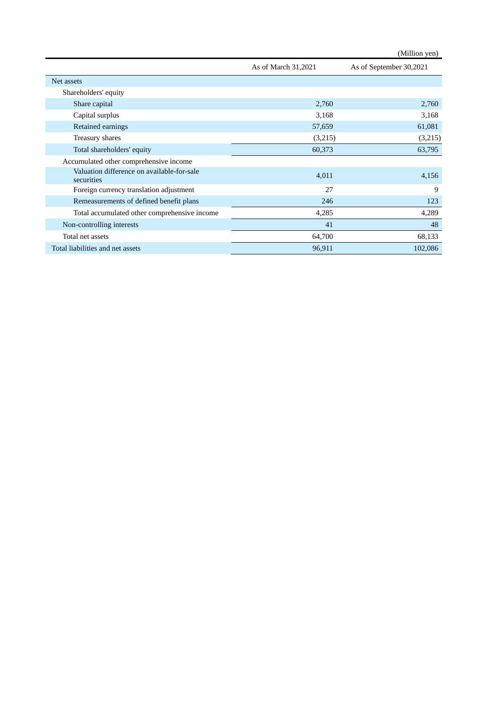|                                                          |                     | (Million yen)           |
|----------------------------------------------------------|---------------------|-------------------------|
|                                                          | As of March 31,2021 | As of September 30,2021 |
| Net assets                                               |                     |                         |
| Shareholders' equity                                     |                     |                         |
| Share capital                                            | 2,760               | 2,760                   |
| Capital surplus                                          | 3,168               | 3,168                   |
| Retained earnings                                        | 57,659              | 61,081                  |
| Treasury shares                                          | (3,215)             | (3,215)                 |
| Total shareholders' equity                               | 60,373              | 63,795                  |
| Accumulated other comprehensive income                   |                     |                         |
| Valuation difference on available-for-sale<br>securities | 4,011               | 4,156                   |
| Foreign currency translation adjustment                  | 27                  | 9                       |
| Remeasurements of defined benefit plans                  | 246                 | 123                     |
| Total accumulated other comprehensive income             | 4,285               | 4,289                   |
| Non-controlling interests                                | 41                  | 48                      |
| Total net assets                                         | 64,700              | 68,133                  |
| Total liabilities and net assets                         | 96,911              | 102,086                 |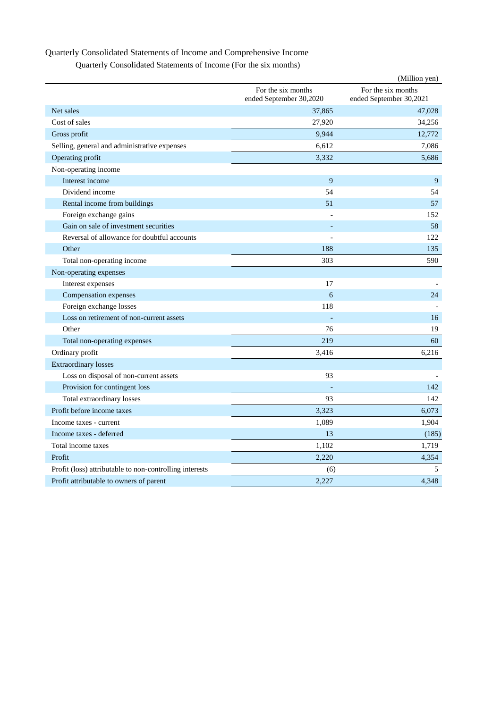### Quarterly Consolidated Statements of Income and Comprehensive Income

Quarterly Consolidated Statements of Income (For the six months)

|                                                         |                                               | (Million yen)                                 |
|---------------------------------------------------------|-----------------------------------------------|-----------------------------------------------|
|                                                         | For the six months<br>ended September 30,2020 | For the six months<br>ended September 30,2021 |
| Net sales                                               | 37,865                                        | 47,028                                        |
| Cost of sales                                           | 27,920                                        | 34,256                                        |
| Gross profit                                            | 9,944                                         | 12,772                                        |
| Selling, general and administrative expenses            | 6,612                                         | 7,086                                         |
| Operating profit                                        | 3,332                                         | 5,686                                         |
| Non-operating income                                    |                                               |                                               |
| Interest income                                         | 9                                             | 9                                             |
| Dividend income                                         | 54                                            | 54                                            |
| Rental income from buildings                            | 51                                            | 57                                            |
| Foreign exchange gains                                  |                                               | 152                                           |
| Gain on sale of investment securities                   |                                               | 58                                            |
| Reversal of allowance for doubtful accounts             |                                               | 122                                           |
| Other                                                   | 188                                           | 135                                           |
| Total non-operating income                              | 303                                           | 590                                           |
| Non-operating expenses                                  |                                               |                                               |
| Interest expenses                                       | 17                                            |                                               |
| Compensation expenses                                   | 6                                             | 24                                            |
| Foreign exchange losses                                 | 118                                           |                                               |
| Loss on retirement of non-current assets                |                                               | 16                                            |
| Other                                                   | 76                                            | 19                                            |
| Total non-operating expenses                            | 219                                           | 60                                            |
| Ordinary profit                                         | 3,416                                         | 6,216                                         |
| <b>Extraordinary losses</b>                             |                                               |                                               |
| Loss on disposal of non-current assets                  | 93                                            |                                               |
| Provision for contingent loss                           |                                               | 142                                           |
| Total extraordinary losses                              | 93                                            | 142                                           |
| Profit before income taxes                              | 3,323                                         | 6,073                                         |
| Income taxes - current                                  | 1,089                                         | 1,904                                         |
| Income taxes - deferred                                 | 13                                            | (185)                                         |
| Total income taxes                                      | 1,102                                         | 1,719                                         |
| Profit                                                  | 2,220                                         | 4,354                                         |
| Profit (loss) attributable to non-controlling interests | (6)                                           | 5                                             |
| Profit attributable to owners of parent                 | 2,227                                         | 4,348                                         |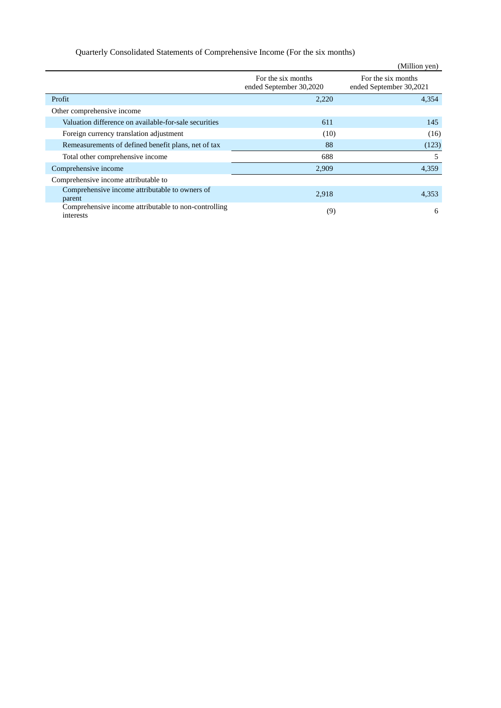## Quarterly Consolidated Statements of Comprehensive Income (For the six months)

|                                                                   |                                               | (Million yen)                                 |
|-------------------------------------------------------------------|-----------------------------------------------|-----------------------------------------------|
|                                                                   | For the six months<br>ended September 30,2020 | For the six months<br>ended September 30,2021 |
| Profit                                                            | 2,220                                         | 4,354                                         |
| Other comprehensive income                                        |                                               |                                               |
| Valuation difference on available-for-sale securities             | 611                                           | 145                                           |
| Foreign currency translation adjustment                           | (10)                                          | (16)                                          |
| Remeasurements of defined benefit plans, net of tax               | 88                                            | (123)                                         |
| Total other comprehensive income                                  | 688                                           | 5                                             |
| Comprehensive income                                              | 2,909                                         | 4,359                                         |
| Comprehensive income attributable to                              |                                               |                                               |
| Comprehensive income attributable to owners of<br>parent          | 2,918                                         | 4,353                                         |
| Comprehensive income attributable to non-controlling<br>interests | (9)                                           | 6                                             |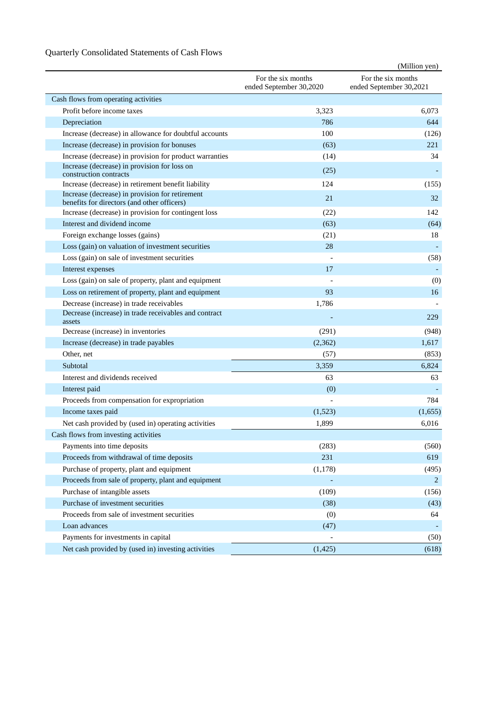## Quarterly Consolidated Statements of Cash Flows

|                                                                                                |                                               | (Million yen)                                 |
|------------------------------------------------------------------------------------------------|-----------------------------------------------|-----------------------------------------------|
|                                                                                                | For the six months<br>ended September 30,2020 | For the six months<br>ended September 30,2021 |
| Cash flows from operating activities                                                           |                                               |                                               |
| Profit before income taxes                                                                     | 3,323                                         | 6.073                                         |
| Depreciation                                                                                   | 786                                           | 644                                           |
| Increase (decrease) in allowance for doubtful accounts                                         | 100                                           | (126)                                         |
| Increase (decrease) in provision for bonuses                                                   | (63)                                          | 221                                           |
| Increase (decrease) in provision for product warranties                                        | (14)                                          | 34                                            |
| Increase (decrease) in provision for loss on<br>construction contracts                         | (25)                                          |                                               |
| Increase (decrease) in retirement benefit liability                                            | 124                                           | (155)                                         |
| Increase (decrease) in provision for retirement<br>benefits for directors (and other officers) | 21                                            | 32                                            |
| Increase (decrease) in provision for contingent loss                                           | (22)                                          | 142                                           |
| Interest and dividend income                                                                   | (63)                                          | (64)                                          |
| Foreign exchange losses (gains)                                                                | (21)                                          | 18                                            |
| Loss (gain) on valuation of investment securities                                              | 28                                            |                                               |
| Loss (gain) on sale of investment securities                                                   |                                               | (58)                                          |
| Interest expenses                                                                              | 17                                            |                                               |
| Loss (gain) on sale of property, plant and equipment                                           |                                               | (0)                                           |
| Loss on retirement of property, plant and equipment                                            | 93                                            | 16                                            |
| Decrease (increase) in trade receivables                                                       | 1,786                                         |                                               |
| Decrease (increase) in trade receivables and contract<br>assets                                |                                               | 229                                           |
| Decrease (increase) in inventories                                                             | (291)                                         | (948)                                         |
| Increase (decrease) in trade payables                                                          | (2,362)                                       | 1,617                                         |
| Other, net                                                                                     | (57)                                          | (853)                                         |
| Subtotal                                                                                       | 3,359                                         | 6,824                                         |
| Interest and dividends received                                                                | 63                                            | 63                                            |
| Interest paid                                                                                  | (0)                                           |                                               |
| Proceeds from compensation for expropriation                                                   |                                               | 784                                           |
| Income taxes paid                                                                              | (1,523)                                       | (1,655)                                       |
| Net cash provided by (used in) operating activities                                            | 1,899                                         | 6.016                                         |
| Cash flows from investing activities                                                           |                                               |                                               |
| Payments into time deposits                                                                    | (283)                                         | (560)                                         |
| Proceeds from withdrawal of time deposits                                                      | 231                                           | 619                                           |
| Purchase of property, plant and equipment                                                      | (1, 178)                                      | (495)                                         |
| Proceeds from sale of property, plant and equipment                                            |                                               | 2                                             |
| Purchase of intangible assets                                                                  | (109)                                         | (156)                                         |
| Purchase of investment securities                                                              | (38)                                          | (43)                                          |
| Proceeds from sale of investment securities                                                    | (0)                                           | 64                                            |
| Loan advances                                                                                  | (47)                                          |                                               |
| Payments for investments in capital                                                            |                                               | (50)                                          |
| Net cash provided by (used in) investing activities                                            | (1, 425)                                      | (618)                                         |